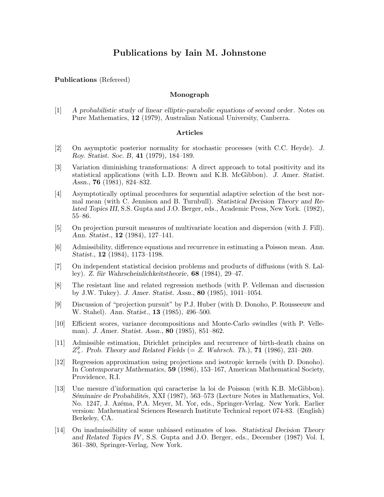# **Publications by Iain M. Johnstone**

## **Publications** (Refereed)

# **Monograph**

[1] *A probabilistic study of linear elliptic-parabolic equations of second order*. Notes on Pure Mathematics, **12** (1979), Australian National University, Canberra.

## **Articles**

- [2] On asymptotic posterior normality for stochastic processes (with C.C. Heyde). *J. Roy. Statist. Soc. B*, **41** (1979), 184–189.
- [3] Variation diminishing transformations: A direct approach to total positivity and its statistical applications (with L.D. Brown and K.B. McGibbon). *J. Amer. Statist. Assn.*, **76** (1981), 824–832.
- [4] Asymptotically optimal procedures for sequential adaptive selection of the best normal mean (with C. Jennison and B. Turnbull). *Statistical Decision Theory and Related Topics III*, S.S. Gupta and J.O. Berger, eds., Academic Press, New York. (1982), 55–86.
- [5] On projection pursuit measures of multivariate location and dispersion (with J. Fill). *Ann. Statist.*, **12** (1984), 127–141.
- [6] Admissibility, difference equations and recurrence in estimating a Poisson mean. *Ann. Statist.*, **12** (1984), 1173–1198.
- [7] On independent statistical decision problems and products of diffusions (with S. Lalley). *Z. f¨ur Wahrscheinlichkeitstheorie*, **68** (1984), 29–47.
- [8] The resistant line and related regression methods (with P. Velleman and discussion by J.W. Tukey). *J. Amer. Statist. Assn.*, **80** (1985), 1041–1054.
- [9] Discussion of "projection pursuit" by P.J. Huber (with D. Donoho, P. Rousseeuw and W. Stahel). *Ann. Statist.*, **13** (1985), 496–500.
- [10] Efficient scores, variance decompositions and Monte-Carlo swindles (with P. Velleman). *J. Amer. Statist. Assn.*, **80** (1985), 851–862.
- [11] Admissible estimation, Dirichlet principles and recurrence of birth-death chains on  $Z_+^p$ . *Prob. Theory and Related Fields* (= *Z. Wahrsch. Th.*), **71** (1986), 231–269.
- [12] Regression approximation using projections and isotropic kernels (with D. Donoho). In *Contemporary Mathematics*, **59** (1986), 153–167, American Mathematical Society, Providence, R.I.
- [13] Une mesure d'information qui caracterise la loi de Poisson (with K.B. McGibbon). *S´eminaire de Probabilit´es*, XXI (1987), 563–573 (Lecture Notes in Mathematics, Vol. No. 1247, J. Azéma, P.A. Meyer, M. Yor, eds., Springer-Verlag. New York. Earlier version: Mathematical Sciences Research Institute Technical report 074-83. (English) Berkeley, CA.
- [14] On inadmissibility of some unbiased estimates of loss. *Statistical Decision Theory and Related Topics IV*, S.S. Gupta and J.O. Berger, eds., December (1987) Vol. I, 361–380, Springer-Verlag, New York.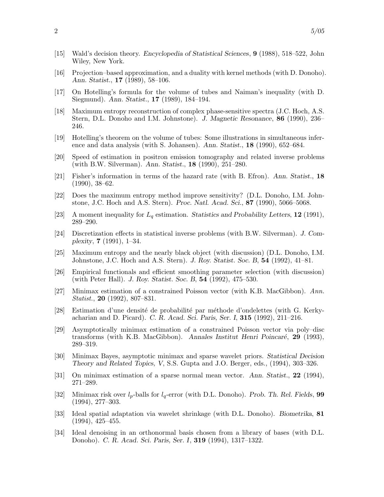- [15] Wald's decision theory. *Encyclopedia of Statistical Sciences*, **9** (1988), 518–522, John Wiley, New York.
- [16] Projection–based approximation, and a duality with kernel methods (with D. Donoho). *Ann. Statist.*, **17** (1989), 58–106.
- [17] On Hotelling's formula for the volume of tubes and Naiman's inequality (with D. Siegmund). *Ann. Statist.*, **17** (1989), 184–194.
- [18] Maximum entropy reconstruction of complex phase-sensitive spectra (J.C. Hoch, A.S. Stern, D.L. Donoho and I.M. Johnstone). *J. Magnetic Resonance*, **86** (1990), 236– 246.
- [19] Hotelling's theorem on the volume of tubes: Some illustrations in simultaneous inference and data analysis (with S. Johansen). *Ann. Statist.*, **18** (1990), 652–684.
- [20] Speed of estimation in positron emission tomography and related inverse problems (with B.W. Silverman). *Ann. Statist.*, **18** (1990), 251–280.
- [21] Fisher's information in terms of the hazard rate (with B. Efron). *Ann. Statist.*, **18** (1990), 38–62.
- [22] Does the maximum entropy method improve sensitivity? (D.L. Donoho, I.M. Johnstone, J.C. Hoch and A.S. Stern). *Proc. Natl. Acad. Sci.*, **87** (1990), 5066–5068.
- [23] A moment inequality for L*<sup>q</sup>* estimation. *Statistics and Probability Letters*, **12** (1991), 289–290.
- [24] Discretization effects in statistical inverse problems (with B.W. Silverman). *J. Complexity*, **7** (1991), 1–34.
- [25] Maximum entropy and the nearly black object (with discussion) (D.L. Donoho, I.M. Johnstone, J.C. Hoch and A.S. Stern). *J. Roy. Statist. Soc. B*, **54** (1992), 41–81.
- [26] Empirical functionals and efficient smoothing parameter selection (with discussion) (with Peter Hall). *J. Roy. Statist. Soc. B*, **54** (1992), 475–530.
- [27] Minimax estimation of a constrained Poisson vector (with K.B. MacGibbon). *Ann. Statist.*, **20** (1992), 807–831.
- [28] Estimation d'une densité de probabilité par méthode d'ondelettes (with G. Kerkyacharian and D. Picard). *C. R. Acad. Sci. Paris, Ser. I*, **315** (1992), 211–216.
- [29] Asymptotically minimax estimation of a constrained Poisson vector via poly–disc transforms (with K.B. MacGibbon). Annales Institut Henri Poincaré, 29 (1993), 289–319.
- [30] Minimax Bayes, asymptotic minimax and sparse wavelet priors. *Statistical Decision Theory and Related Topics, V*, S.S. Gupta and J.O. Berger, eds., (1994), 303–326.
- [31] On minimax estimation of a sparse normal mean vector. *Ann. Statist.*, **22** (1994), 271–289.
- [32] Minimax risk over l*p*-balls for l*q*-error (with D.L. Donoho). *Prob. Th. Rel. Fields*, **99** (1994), 277–303.
- [33] Ideal spatial adaptation via wavelet shrinkage (with D.L. Donoho). *Biometrika*, **81** (1994), 425–455.
- [34] Ideal denoising in an orthonormal basis chosen from a library of bases (with D.L. Donoho). *C. R. Acad. Sci. Paris, Ser. I*, **319** (1994), 1317–1322.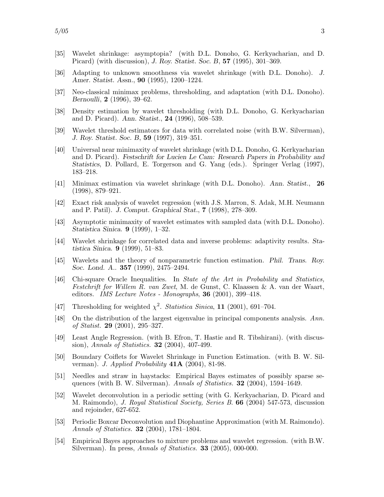- [35] Wavelet shrinkage: asymptopia? (with D.L. Donoho, G. Kerkyacharian, and D. Picard) (with discussion), *J. Roy. Statist. Soc. B*, **57** (1995), 301–369.
- [36] Adapting to unknown smoothness via wavelet shrinkage (with D.L. Donoho). *J. Amer. Statist. Assn.*, **90** (1995), 1200–1224.
- [37] Neo-classical minimax problems, thresholding, and adaptation (with D.L. Donoho). *Bernoulli*, **2** (1996), 39–62.
- [38] Density estimation by wavelet thresholding (with D.L. Donoho, G. Kerkyacharian and D. Picard). *Ann. Statist.*, **24** (1996), 508–539.
- [39] Wavelet threshold estimators for data with correlated noise (with B.W. Silverman), *J. Roy. Statist. Soc. B*, **59** (1997), 319–351.
- [40] Universal near minimaxity of wavelet shrinkage (with D.L. Donoho, G. Kerkyacharian and D. Picard). *Festschrift for Lucien Le Cam: Research Papers in Probability and Statistics*, D. Pollard, E. Torgerson and G. Yang (eds.). Springer Verlag (1997), 183–218.
- [41] Minimax estimation via wavelet shrinkage (with D.L. Donoho). *Ann. Statist.*, **26** (1998), 879–921.
- [42] Exact risk analysis of wavelet regression (with J.S. Marron, S. Adak, M.H. Neumann and P. Patil). *J. Comput. Graphical Stat.*, **7** (1998), 278–309.
- [43] Asymptotic minimaxity of wavelet estimates with sampled data (with D.L. Donoho). *Statistica Sinica*. **9** (1999), 1–32.
- [44] Wavelet shrinkage for correlated data and inverse problems: adaptivity results. *Statistica Sinica*. **9** (1999), 51–83.
- [45] Wavelets and the theory of nonparametric function estimation. *Phil. Trans. Roy. Soc. Lond. A.*. **357** (1999), 2475–2494.
- [46] Chi-square Oracle Inequalities. In *State of the Art in Probability and Statistics, Festchrift for Willem R. van Zwet*, M. de Gunst, C. Klaassen & A. van der Waart, editors. *IMS Lecture Notes - Monographs*, **36** (2001), 399–418.
- [47] Thresholding for weighted  $\chi^2$ . *Statistica Sinica*, **11** (2001), 691–704.
- [48] On the distribution of the largest eigenvalue in principal components analysis. *Ann. of Statist.* **29** (2001), 295–327.
- [49] Least Angle Regression. (with B. Efron, T. Hastie and R. Tibshirani). (with discussion), *Annals of Statistics.* **32** (2004), 407-499.
- [50] Boundary Coiflets for Wavelet Shrinkage in Function Estimation. (with B. W. Silverman). *J. Applied Probability* **41A** (2004), 81-98.
- [51] Needles and straw in haystacks: Empirical Bayes estimates of possibly sparse sequences (with B. W. Silverman). *Annals of Statistics.* **32** (2004), 1594–1649.
- [52] Wavelet deconvolution in a periodic setting (with G. Kerkyacharian, D. Picard and M. Raimondo), *J. Royal Statistical Society, Series B*. **66** (2004) 547-573, discussion and rejoinder, 627-652.
- [53] Periodic Boxcar Deconvolution and Diophantine Approximation (with M. Raimondo). *Annals of Statistics.* **32** (2004), 1781–1804.
- [54] Empirical Bayes approaches to mixture problems and wavelet regression. (with B.W. Silverman). In press, *Annals of Statistics.* **33** (2005), 000-000.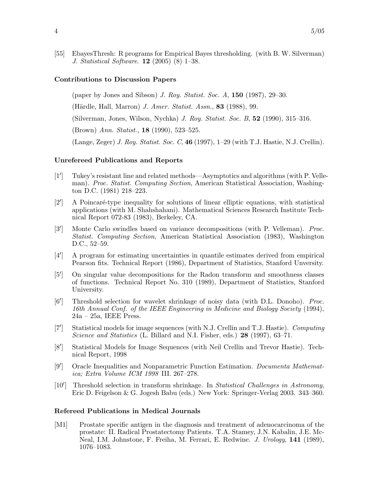[55] EbayesThresh: R programs for Empirical Bayes thresholding. (with B. W. Silverman) *J. Statistical Software*. **12** (2005) (8) 1–38.

#### **Contributions to Discussion Papers**

(paper by Jones and Sibson) *J. Roy. Statist. Soc. A*, **150** (1987), 29–30.

(Härdle, Hall, Marron) *J. Amer. Statist. Assn.*, **83** (1988), 99.

(Silverman, Jones, Wilson, Nychka) *J. Roy. Statist. Soc. B*, **52** (1990), 315–316.

(Brown) *Ann. Statist.*, **18** (1990), 523–525.

(Lange, Zeger) *J. Roy. Statist. Soc. C*, **46** (1997), 1–29 (with T.J. Hastie, N.J. Crellin).

#### **Unrefereed Publications and Reports**

- $\lceil 1' \rceil$ ] Tukey's resistant line and related methods—Asymptotics and algorithms (with P. Velleman). *Proc. Statist. Computing Section*, American Statistical Association, Washington D.C. (1981) 218–223.
- $\lceil 2^{\prime} \rceil$ ] A Poincar´e-type inequality for solutions of linear elliptic equations, with statistical applications (with M. Shahshahani). Mathematical Sciences Research Institute Technical Report 072-83 (1983), Berkeley, CA.
- $\lceil 3' \rceil$ ] Monte Carlo swindles based on variance decompositions (with P. Velleman). *Proc. Statist. Computing Section*, American Statistical Association (1983), Washington D.C., 52–59.
- $[4^{\prime}]$ ] A program for estimating uncertainties in quantile estimates derived from empirical Pearson fits. Technical Report (1986), Department of Statistics, Stanford Unversity.
- $[5']$ ] On singular value decompositions for the Radon transform and smoothness classes of functions. Technical Report No. 310 (1989), Department of Statistics, Stanford University.
- $[6']$ ] Threshold selection for wavelet shrinkage of noisy data (with D.L. Donoho). *Proc. 16th Annual Conf. of the IEEE Engineering in Medicine and Biology Society* (1994),  $24a - 25a$ , IEEE Press.
- $\lceil 7' \rceil$ ] Statistical models for image sequences (with N.J. Crellin and T.J. Hastie). *Computing Science and Statistics* (L. Billard and N.I. Fisher, eds.) **28** (1997), 63–71.
- $[8']$ ] Statistical Models for Image Sequences (with Neil Crellin and Trevor Hastie). Technical Report, 1998
- $[9']$ ] Oracle Inequalities and Nonparametric Function Estimation. *Documenta Mathematica; Extra Volume ICM 1998* III. 267–278.
- $[10']$ ] Threshold selection in transform shrinkage. In *Statistical Challenges in Astronomy*, Eric D. Feigelson & G. Jogesh Babu (eds.) New York: Springer-Verlag 2003. 343–360.

#### **Refereed Publications in Medical Journals**

[M1] Prostate specific antigen in the diagnosis and treatment of adenocarcinoma of the prostate: II. Radical Prostatectomy Patients. T.A. Stamey, J.N. Kabalin, J.E. Mc-Neal, I.M. Johnstone, F. Freiha, M. Ferrari, E. Redwine. *J. Urology*, **141** (1989), 1076–1083.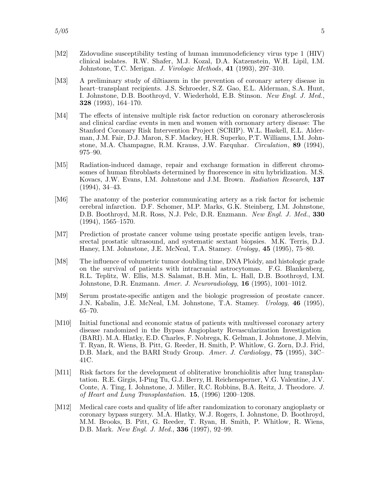- [M2] Zidovudine susceptibility testing of human immunodeficiency virus type 1 (HIV) clinical isolates. R.W. Shafer, M.J. Kozal, D.A. Katzenstein, W.H. Lipil, I.M. Johnstone, T.C. Merigan. *J. Virologic Methods*, **41** (1993), 297–310.
- [M3] A preliminary study of diltiazem in the prevention of coronary artery disease in heart–transplant recipients. J.S. Schroeder, S.Z. Gao, E.L. Alderman, S.A. Hunt, I. Johnstone, D.B. Boothroyd, V. Wiederhold, E.B. Stinson. *New Engl. J. Med.*, **328** (1993), 164–170.
- [M4] The effects of intensive multiple risk factor reduction on coronary atherosclerosis and clinical cardiac events in men and women with cornonary artery disease: The Stanford Coronary Risk Intervention Project (SCRIP). W.L. Haskell, E.L. Alderman, J.M. Fair, D.J. Maron, S.F. Mackey, H.R. Superko, P.T. Williams, I.M. Johnstone, M.A. Champagne, R.M. Krauss, J.W. Farquhar. *Circulation*, **89** (1994), 975–90.
- [M5] Radiation-induced damage, repair and exchange formation in different chromosomes of human fibroblasts determined by fluorescence in situ hybridization. M.S. Kovacs, J.W. Evans, I.M. Johnstone and J.M. Brown. *Radiation Research*, **137** (1994), 34–43.
- [M6] The anatomy of the posterior communicating artery as a risk factor for ischemic cerebral infarction. D.F. Schomer, M.P. Marks, G.K. Steinberg, I.M. Johnstone, D.B. Boothroyd, M.R. Ross, N.J. Pelc, D.R. Enzmann. *New Engl. J. Med.*, **330**  $(1994), 1565 - 1570.$
- [M7] Prediction of prostate cancer volume using prostate specific antigen levels, transrectal prostatic ultrasound, and systematic sextant biopsies. M.K. Terris, D.J. Haney, I.M. Johnstone, J.E. McNeal, T.A. Stamey. *Urology*, **45** (1995), 75–80.
- [M8] The influence of volumetric tumor doubling time, DNA Ploidy, and histologic grade on the survival of patients with intracranial astrocytomas. F.G. Blankenberg, R.L. Teplitz, W. Ellis, M.S. Salamat, B.H. Min, L. Hall, D.B. Boothroyd, I.M. Johnstone, D.R. Enzmann. *Amer. J. Neuroradiology*, **16** (1995), 1001–1012.
- [M9] Serum prostate-specific antigen and the biologic progression of prostate cancer. J.N. Kabalin, J.E. McNeal, I.M. Johnstone, T.A. Stamey. *Urology*, **46** (1995), 65–70.
- [M10] Initial functional and economic status of patients with multivessel coronary artery disease randomized in the Bypass Angioplasty Revascularization Investigation (BARI). M.A. Hlatky, E.D. Charles, F. Nobrega, K. Gelman, I. Johnstone, J. Melvin, T. Ryan, R. Wiens, B. Pitt, G. Reeder, H. Smith, P. Whitlow, G. Zorn, D.J. Frid, D.B. Mark, and the BARI Study Group. *Amer. J. Cardiology*, **75** (1995), 34C– 41C.
- [M11] Risk factors for the development of obliterative bronchiolitis after lung transplantation. R.E. Girgis, I-Ping Tu, G.J. Berry, H. Reichensperner, V.G. Valentine, J.V. Conte, A. Ting, I. Johnstone, J. Miller, R.C. Robbins, B.A. Reitz, J. Theodore. *J. of Heart and Lung Transplantation.* **15**, (1996) 1200–1208.
- [M12] Medical care costs and quality of life after randomization to coronary angioplasty or coronary bypass surgery. M.A. Hlatky, W.J. Rogers, I. Johnstone, D. Boothroyd, M.M. Brooks, B. Pitt, G. Reeder, T. Ryan, H. Smith, P. Whitlow, R. Wiens, D.B. Mark. *New Engl. J. Med.*, **336** (1997), 92–99.